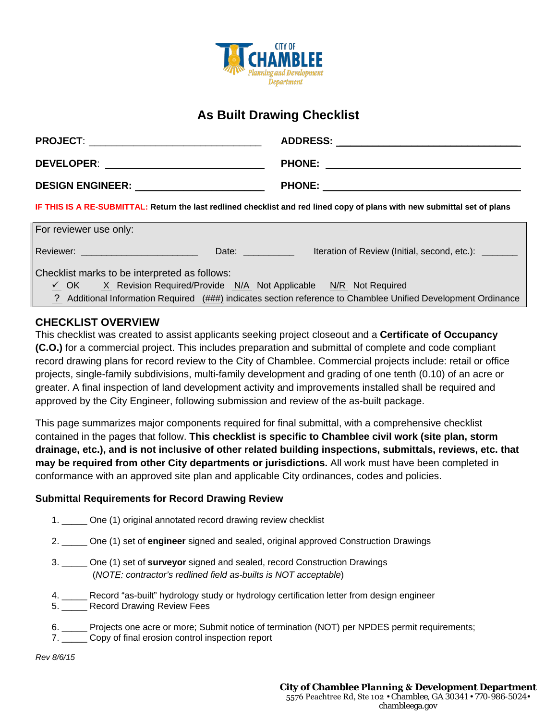

## **As Built Drawing Checklist**

| <b>PROJECT:</b>                                                                                                                                                                                                                      | <b>ADDRESS:</b>                                                                                                                                                                                                                      |
|--------------------------------------------------------------------------------------------------------------------------------------------------------------------------------------------------------------------------------------|--------------------------------------------------------------------------------------------------------------------------------------------------------------------------------------------------------------------------------------|
|                                                                                                                                                                                                                                      | <u>and the control of the control of the control of the control of the control of the control of the control of the control of the control of the control of the control of the control of the control of the control of the con</u> |
| <b>DEVELOPER:</b>                                                                                                                                                                                                                    | <b>PHONE:</b>                                                                                                                                                                                                                        |
| <u> 1989 - Johann Harry Harry Harry Harry Harry Harry Harry Harry Harry Harry Harry Harry Harry Harry Harry Harry Harry Harry Harry Harry Harry Harry Harry Harry Harry Harry Harry Harry Harry Harry Harry Harry Harry Harry Ha</u> | <u> 1999 - Jan James James James James James James James James James James James James James James James James J</u>                                                                                                                 |
| <b>DESIGN ENGINEER:</b> The contract of the contract of the contract of the contract of the contract of the contract of the contract of the contract of the contract of the contract of the contract of the contract of the contrac  | <b>PHONE:</b>                                                                                                                                                                                                                        |

**IF THIS IS A RE-SUBMITTAL: Return the last redlined checklist and red lined copy of plans with new submittal set of plans**

| For reviewer use only:                                                    |       |                                                                                                               |
|---------------------------------------------------------------------------|-------|---------------------------------------------------------------------------------------------------------------|
| Reviewer: Newsletter Management Controllery                               | Date: | Iteration of Review (Initial, second, etc.): _______                                                          |
| Checklist marks to be interpreted as follows:                             |       |                                                                                                               |
| X Revision Required/Provide N/A Not Applicable N/R Not Required<br>✓ OK → |       |                                                                                                               |
|                                                                           |       | 2 Additional Information Required (###) indicates section reference to Chamblee Unified Development Ordinance |

## **CHECKLIST OVERVIEW**

This checklist was created to assist applicants seeking project closeout and a **Certificate of Occupancy (C.O.)** for a commercial project. This includes preparation and submittal of complete and code compliant record drawing plans for record review to the City of Chamblee. Commercial projects include: retail or office projects, single-family subdivisions, multi-family development and grading of one tenth (0.10) of an acre or greater. A final inspection of land development activity and improvements installed shall be required and approved by the City Engineer, following submission and review of the as-built package.

This page summarizes major components required for final submittal, with a comprehensive checklist contained in the pages that follow. **This checklist is specific to Chamblee civil work (site plan, storm drainage, etc.), and is not inclusive of other related building inspections, submittals, reviews, etc. that may be required from other City departments or jurisdictions.** All work must have been completed in conformance with an approved site plan and applicable City ordinances, codes and policies.

## **Submittal Requirements for Record Drawing Review**

- 1. \_\_\_\_\_ One (1) original annotated record drawing review checklist
- 2. \_\_\_\_\_ One (1) set of **engineer** signed and sealed, original approved Construction Drawings
- 3. \_\_\_\_\_ One (1) set of **surveyor** signed and sealed, record Construction Drawings (*NOTE: contractor's redlined field as-builts is NOT acceptable*)
- 4. \_\_\_\_\_ Record "as-built" hydrology study or hydrology certification letter from design engineer
- 5. \_\_\_\_\_ Record Drawing Review Fees
- 6. \_\_\_\_\_ Projects one acre or more; Submit notice of termination (NOT) per NPDES permit requirements;
- 7. Copy of final erosion control inspection report

*Rev 8/6/15*